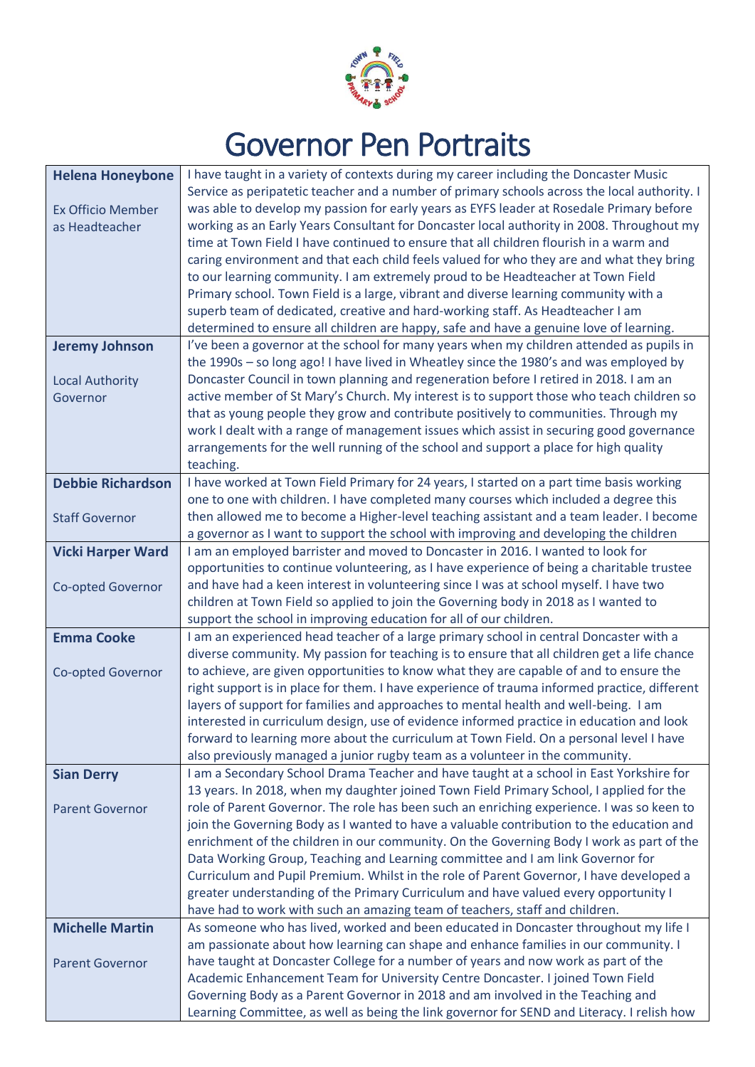

## Governor Pen Portraits

| Service as peripatetic teacher and a number of primary schools across the local authority. I<br>was able to develop my passion for early years as EYFS leader at Rosedale Primary before<br><b>Ex Officio Member</b><br>working as an Early Years Consultant for Doncaster local authority in 2008. Throughout my<br>as Headteacher<br>time at Town Field I have continued to ensure that all children flourish in a warm and<br>caring environment and that each child feels valued for who they are and what they bring<br>to our learning community. I am extremely proud to be Headteacher at Town Field<br>Primary school. Town Field is a large, vibrant and diverse learning community with a<br>superb team of dedicated, creative and hard-working staff. As Headteacher I am<br>determined to ensure all children are happy, safe and have a genuine love of learning.<br>I've been a governor at the school for many years when my children attended as pupils in<br><b>Jeremy Johnson</b><br>the 1990s - so long ago! I have lived in Wheatley since the 1980's and was employed by<br>Doncaster Council in town planning and regeneration before I retired in 2018. I am an<br><b>Local Authority</b><br>active member of St Mary's Church. My interest is to support those who teach children so<br>Governor<br>that as young people they grow and contribute positively to communities. Through my<br>work I dealt with a range of management issues which assist in securing good governance<br>arrangements for the well running of the school and support a place for high quality<br>teaching.<br><b>Debbie Richardson</b><br>I have worked at Town Field Primary for 24 years, I started on a part time basis working<br>one to one with children. I have completed many courses which included a degree this<br>then allowed me to become a Higher-level teaching assistant and a team leader. I become<br><b>Staff Governor</b><br>a governor as I want to support the school with improving and developing the children<br>I am an employed barrister and moved to Doncaster in 2016. I wanted to look for<br><b>Vicki Harper Ward</b><br>opportunities to continue volunteering, as I have experience of being a charitable trustee<br>and have had a keen interest in volunteering since I was at school myself. I have two<br><b>Co-opted Governor</b><br>children at Town Field so applied to join the Governing body in 2018 as I wanted to<br>support the school in improving education for all of our children.<br>I am an experienced head teacher of a large primary school in central Doncaster with a<br><b>Emma Cooke</b><br>diverse community. My passion for teaching is to ensure that all children get a life chance<br>to achieve, are given opportunities to know what they are capable of and to ensure the<br>Co-opted Governor<br>right support is in place for them. I have experience of trauma informed practice, different<br>layers of support for families and approaches to mental health and well-being. I am<br>interested in curriculum design, use of evidence informed practice in education and look<br>forward to learning more about the curriculum at Town Field. On a personal level I have<br>also previously managed a junior rugby team as a volunteer in the community.<br>I am a Secondary School Drama Teacher and have taught at a school in East Yorkshire for<br><b>Sian Derry</b><br>13 years. In 2018, when my daughter joined Town Field Primary School, I applied for the<br>role of Parent Governor. The role has been such an enriching experience. I was so keen to<br><b>Parent Governor</b><br>join the Governing Body as I wanted to have a valuable contribution to the education and<br>enrichment of the children in our community. On the Governing Body I work as part of the<br>Data Working Group, Teaching and Learning committee and I am link Governor for<br>Curriculum and Pupil Premium. Whilst in the role of Parent Governor, I have developed a<br>greater understanding of the Primary Curriculum and have valued every opportunity I<br>have had to work with such an amazing team of teachers, staff and children.<br>As someone who has lived, worked and been educated in Doncaster throughout my life I<br><b>Michelle Martin</b><br>am passionate about how learning can shape and enhance families in our community. I<br>have taught at Doncaster College for a number of years and now work as part of the<br><b>Parent Governor</b><br>Academic Enhancement Team for University Centre Doncaster. I joined Town Field<br>Governing Body as a Parent Governor in 2018 and am involved in the Teaching and<br>Learning Committee, as well as being the link governor for SEND and Literacy. I relish how | <b>Helena Honeybone</b> | I have taught in a variety of contexts during my career including the Doncaster Music |
|-------------------------------------------------------------------------------------------------------------------------------------------------------------------------------------------------------------------------------------------------------------------------------------------------------------------------------------------------------------------------------------------------------------------------------------------------------------------------------------------------------------------------------------------------------------------------------------------------------------------------------------------------------------------------------------------------------------------------------------------------------------------------------------------------------------------------------------------------------------------------------------------------------------------------------------------------------------------------------------------------------------------------------------------------------------------------------------------------------------------------------------------------------------------------------------------------------------------------------------------------------------------------------------------------------------------------------------------------------------------------------------------------------------------------------------------------------------------------------------------------------------------------------------------------------------------------------------------------------------------------------------------------------------------------------------------------------------------------------------------------------------------------------------------------------------------------------------------------------------------------------------------------------------------------------------------------------------------------------------------------------------------------------------------------------------------------------------------------------------------------------------------------------------------------------------------------------------------------------------------------------------------------------------------------------------------------------------------------------------------------------------------------------------------------------------------------------------------------------------------------------------------------------------------------------------------------------------------------------------------------------------------------------------------------------------------------------------------------------------------------------------------------------------------------------------------------------------------------------------------------------------------------------------------------------------------------------------------------------------------------------------------------------------------------------------------------------------------------------------------------------------------------------------------------------------------------------------------------------------------------------------------------------------------------------------------------------------------------------------------------------------------------------------------------------------------------------------------------------------------------------------------------------------------------------------------------------------------------------------------------------------------------------------------------------------------------------------------------------------------------------------------------------------------------------------------------------------------------------------------------------------------------------------------------------------------------------------------------------------------------------------------------------------------------------------------------------------------------------------------------------------------------------------------------------------------------------------------------------------------------------------------------------------------------------------------------------------------------------------------------------------------------------------------------------------------------------------------------------------------------------------------------------------------------------------------------------------------------------------------------------------------------------------------------------------------------------------------------------------------------------------------------------------------------------------------|-------------------------|---------------------------------------------------------------------------------------|
|                                                                                                                                                                                                                                                                                                                                                                                                                                                                                                                                                                                                                                                                                                                                                                                                                                                                                                                                                                                                                                                                                                                                                                                                                                                                                                                                                                                                                                                                                                                                                                                                                                                                                                                                                                                                                                                                                                                                                                                                                                                                                                                                                                                                                                                                                                                                                                                                                                                                                                                                                                                                                                                                                                                                                                                                                                                                                                                                                                                                                                                                                                                                                                                                                                                                                                                                                                                                                                                                                                                                                                                                                                                                                                                                                                                                                                                                                                                                                                                                                                                                                                                                                                                                                                                                                                                                                                                                                                                                                                                                                                                                                                                                                                                                                                                                                   |                         |                                                                                       |
|                                                                                                                                                                                                                                                                                                                                                                                                                                                                                                                                                                                                                                                                                                                                                                                                                                                                                                                                                                                                                                                                                                                                                                                                                                                                                                                                                                                                                                                                                                                                                                                                                                                                                                                                                                                                                                                                                                                                                                                                                                                                                                                                                                                                                                                                                                                                                                                                                                                                                                                                                                                                                                                                                                                                                                                                                                                                                                                                                                                                                                                                                                                                                                                                                                                                                                                                                                                                                                                                                                                                                                                                                                                                                                                                                                                                                                                                                                                                                                                                                                                                                                                                                                                                                                                                                                                                                                                                                                                                                                                                                                                                                                                                                                                                                                                                                   |                         |                                                                                       |
|                                                                                                                                                                                                                                                                                                                                                                                                                                                                                                                                                                                                                                                                                                                                                                                                                                                                                                                                                                                                                                                                                                                                                                                                                                                                                                                                                                                                                                                                                                                                                                                                                                                                                                                                                                                                                                                                                                                                                                                                                                                                                                                                                                                                                                                                                                                                                                                                                                                                                                                                                                                                                                                                                                                                                                                                                                                                                                                                                                                                                                                                                                                                                                                                                                                                                                                                                                                                                                                                                                                                                                                                                                                                                                                                                                                                                                                                                                                                                                                                                                                                                                                                                                                                                                                                                                                                                                                                                                                                                                                                                                                                                                                                                                                                                                                                                   |                         |                                                                                       |
|                                                                                                                                                                                                                                                                                                                                                                                                                                                                                                                                                                                                                                                                                                                                                                                                                                                                                                                                                                                                                                                                                                                                                                                                                                                                                                                                                                                                                                                                                                                                                                                                                                                                                                                                                                                                                                                                                                                                                                                                                                                                                                                                                                                                                                                                                                                                                                                                                                                                                                                                                                                                                                                                                                                                                                                                                                                                                                                                                                                                                                                                                                                                                                                                                                                                                                                                                                                                                                                                                                                                                                                                                                                                                                                                                                                                                                                                                                                                                                                                                                                                                                                                                                                                                                                                                                                                                                                                                                                                                                                                                                                                                                                                                                                                                                                                                   |                         |                                                                                       |
|                                                                                                                                                                                                                                                                                                                                                                                                                                                                                                                                                                                                                                                                                                                                                                                                                                                                                                                                                                                                                                                                                                                                                                                                                                                                                                                                                                                                                                                                                                                                                                                                                                                                                                                                                                                                                                                                                                                                                                                                                                                                                                                                                                                                                                                                                                                                                                                                                                                                                                                                                                                                                                                                                                                                                                                                                                                                                                                                                                                                                                                                                                                                                                                                                                                                                                                                                                                                                                                                                                                                                                                                                                                                                                                                                                                                                                                                                                                                                                                                                                                                                                                                                                                                                                                                                                                                                                                                                                                                                                                                                                                                                                                                                                                                                                                                                   |                         |                                                                                       |
|                                                                                                                                                                                                                                                                                                                                                                                                                                                                                                                                                                                                                                                                                                                                                                                                                                                                                                                                                                                                                                                                                                                                                                                                                                                                                                                                                                                                                                                                                                                                                                                                                                                                                                                                                                                                                                                                                                                                                                                                                                                                                                                                                                                                                                                                                                                                                                                                                                                                                                                                                                                                                                                                                                                                                                                                                                                                                                                                                                                                                                                                                                                                                                                                                                                                                                                                                                                                                                                                                                                                                                                                                                                                                                                                                                                                                                                                                                                                                                                                                                                                                                                                                                                                                                                                                                                                                                                                                                                                                                                                                                                                                                                                                                                                                                                                                   |                         |                                                                                       |
|                                                                                                                                                                                                                                                                                                                                                                                                                                                                                                                                                                                                                                                                                                                                                                                                                                                                                                                                                                                                                                                                                                                                                                                                                                                                                                                                                                                                                                                                                                                                                                                                                                                                                                                                                                                                                                                                                                                                                                                                                                                                                                                                                                                                                                                                                                                                                                                                                                                                                                                                                                                                                                                                                                                                                                                                                                                                                                                                                                                                                                                                                                                                                                                                                                                                                                                                                                                                                                                                                                                                                                                                                                                                                                                                                                                                                                                                                                                                                                                                                                                                                                                                                                                                                                                                                                                                                                                                                                                                                                                                                                                                                                                                                                                                                                                                                   |                         |                                                                                       |
|                                                                                                                                                                                                                                                                                                                                                                                                                                                                                                                                                                                                                                                                                                                                                                                                                                                                                                                                                                                                                                                                                                                                                                                                                                                                                                                                                                                                                                                                                                                                                                                                                                                                                                                                                                                                                                                                                                                                                                                                                                                                                                                                                                                                                                                                                                                                                                                                                                                                                                                                                                                                                                                                                                                                                                                                                                                                                                                                                                                                                                                                                                                                                                                                                                                                                                                                                                                                                                                                                                                                                                                                                                                                                                                                                                                                                                                                                                                                                                                                                                                                                                                                                                                                                                                                                                                                                                                                                                                                                                                                                                                                                                                                                                                                                                                                                   |                         |                                                                                       |
|                                                                                                                                                                                                                                                                                                                                                                                                                                                                                                                                                                                                                                                                                                                                                                                                                                                                                                                                                                                                                                                                                                                                                                                                                                                                                                                                                                                                                                                                                                                                                                                                                                                                                                                                                                                                                                                                                                                                                                                                                                                                                                                                                                                                                                                                                                                                                                                                                                                                                                                                                                                                                                                                                                                                                                                                                                                                                                                                                                                                                                                                                                                                                                                                                                                                                                                                                                                                                                                                                                                                                                                                                                                                                                                                                                                                                                                                                                                                                                                                                                                                                                                                                                                                                                                                                                                                                                                                                                                                                                                                                                                                                                                                                                                                                                                                                   |                         |                                                                                       |
|                                                                                                                                                                                                                                                                                                                                                                                                                                                                                                                                                                                                                                                                                                                                                                                                                                                                                                                                                                                                                                                                                                                                                                                                                                                                                                                                                                                                                                                                                                                                                                                                                                                                                                                                                                                                                                                                                                                                                                                                                                                                                                                                                                                                                                                                                                                                                                                                                                                                                                                                                                                                                                                                                                                                                                                                                                                                                                                                                                                                                                                                                                                                                                                                                                                                                                                                                                                                                                                                                                                                                                                                                                                                                                                                                                                                                                                                                                                                                                                                                                                                                                                                                                                                                                                                                                                                                                                                                                                                                                                                                                                                                                                                                                                                                                                                                   |                         |                                                                                       |
|                                                                                                                                                                                                                                                                                                                                                                                                                                                                                                                                                                                                                                                                                                                                                                                                                                                                                                                                                                                                                                                                                                                                                                                                                                                                                                                                                                                                                                                                                                                                                                                                                                                                                                                                                                                                                                                                                                                                                                                                                                                                                                                                                                                                                                                                                                                                                                                                                                                                                                                                                                                                                                                                                                                                                                                                                                                                                                                                                                                                                                                                                                                                                                                                                                                                                                                                                                                                                                                                                                                                                                                                                                                                                                                                                                                                                                                                                                                                                                                                                                                                                                                                                                                                                                                                                                                                                                                                                                                                                                                                                                                                                                                                                                                                                                                                                   |                         |                                                                                       |
|                                                                                                                                                                                                                                                                                                                                                                                                                                                                                                                                                                                                                                                                                                                                                                                                                                                                                                                                                                                                                                                                                                                                                                                                                                                                                                                                                                                                                                                                                                                                                                                                                                                                                                                                                                                                                                                                                                                                                                                                                                                                                                                                                                                                                                                                                                                                                                                                                                                                                                                                                                                                                                                                                                                                                                                                                                                                                                                                                                                                                                                                                                                                                                                                                                                                                                                                                                                                                                                                                                                                                                                                                                                                                                                                                                                                                                                                                                                                                                                                                                                                                                                                                                                                                                                                                                                                                                                                                                                                                                                                                                                                                                                                                                                                                                                                                   |                         |                                                                                       |
|                                                                                                                                                                                                                                                                                                                                                                                                                                                                                                                                                                                                                                                                                                                                                                                                                                                                                                                                                                                                                                                                                                                                                                                                                                                                                                                                                                                                                                                                                                                                                                                                                                                                                                                                                                                                                                                                                                                                                                                                                                                                                                                                                                                                                                                                                                                                                                                                                                                                                                                                                                                                                                                                                                                                                                                                                                                                                                                                                                                                                                                                                                                                                                                                                                                                                                                                                                                                                                                                                                                                                                                                                                                                                                                                                                                                                                                                                                                                                                                                                                                                                                                                                                                                                                                                                                                                                                                                                                                                                                                                                                                                                                                                                                                                                                                                                   |                         |                                                                                       |
|                                                                                                                                                                                                                                                                                                                                                                                                                                                                                                                                                                                                                                                                                                                                                                                                                                                                                                                                                                                                                                                                                                                                                                                                                                                                                                                                                                                                                                                                                                                                                                                                                                                                                                                                                                                                                                                                                                                                                                                                                                                                                                                                                                                                                                                                                                                                                                                                                                                                                                                                                                                                                                                                                                                                                                                                                                                                                                                                                                                                                                                                                                                                                                                                                                                                                                                                                                                                                                                                                                                                                                                                                                                                                                                                                                                                                                                                                                                                                                                                                                                                                                                                                                                                                                                                                                                                                                                                                                                                                                                                                                                                                                                                                                                                                                                                                   |                         |                                                                                       |
|                                                                                                                                                                                                                                                                                                                                                                                                                                                                                                                                                                                                                                                                                                                                                                                                                                                                                                                                                                                                                                                                                                                                                                                                                                                                                                                                                                                                                                                                                                                                                                                                                                                                                                                                                                                                                                                                                                                                                                                                                                                                                                                                                                                                                                                                                                                                                                                                                                                                                                                                                                                                                                                                                                                                                                                                                                                                                                                                                                                                                                                                                                                                                                                                                                                                                                                                                                                                                                                                                                                                                                                                                                                                                                                                                                                                                                                                                                                                                                                                                                                                                                                                                                                                                                                                                                                                                                                                                                                                                                                                                                                                                                                                                                                                                                                                                   |                         |                                                                                       |
|                                                                                                                                                                                                                                                                                                                                                                                                                                                                                                                                                                                                                                                                                                                                                                                                                                                                                                                                                                                                                                                                                                                                                                                                                                                                                                                                                                                                                                                                                                                                                                                                                                                                                                                                                                                                                                                                                                                                                                                                                                                                                                                                                                                                                                                                                                                                                                                                                                                                                                                                                                                                                                                                                                                                                                                                                                                                                                                                                                                                                                                                                                                                                                                                                                                                                                                                                                                                                                                                                                                                                                                                                                                                                                                                                                                                                                                                                                                                                                                                                                                                                                                                                                                                                                                                                                                                                                                                                                                                                                                                                                                                                                                                                                                                                                                                                   |                         |                                                                                       |
|                                                                                                                                                                                                                                                                                                                                                                                                                                                                                                                                                                                                                                                                                                                                                                                                                                                                                                                                                                                                                                                                                                                                                                                                                                                                                                                                                                                                                                                                                                                                                                                                                                                                                                                                                                                                                                                                                                                                                                                                                                                                                                                                                                                                                                                                                                                                                                                                                                                                                                                                                                                                                                                                                                                                                                                                                                                                                                                                                                                                                                                                                                                                                                                                                                                                                                                                                                                                                                                                                                                                                                                                                                                                                                                                                                                                                                                                                                                                                                                                                                                                                                                                                                                                                                                                                                                                                                                                                                                                                                                                                                                                                                                                                                                                                                                                                   |                         |                                                                                       |
|                                                                                                                                                                                                                                                                                                                                                                                                                                                                                                                                                                                                                                                                                                                                                                                                                                                                                                                                                                                                                                                                                                                                                                                                                                                                                                                                                                                                                                                                                                                                                                                                                                                                                                                                                                                                                                                                                                                                                                                                                                                                                                                                                                                                                                                                                                                                                                                                                                                                                                                                                                                                                                                                                                                                                                                                                                                                                                                                                                                                                                                                                                                                                                                                                                                                                                                                                                                                                                                                                                                                                                                                                                                                                                                                                                                                                                                                                                                                                                                                                                                                                                                                                                                                                                                                                                                                                                                                                                                                                                                                                                                                                                                                                                                                                                                                                   |                         |                                                                                       |
|                                                                                                                                                                                                                                                                                                                                                                                                                                                                                                                                                                                                                                                                                                                                                                                                                                                                                                                                                                                                                                                                                                                                                                                                                                                                                                                                                                                                                                                                                                                                                                                                                                                                                                                                                                                                                                                                                                                                                                                                                                                                                                                                                                                                                                                                                                                                                                                                                                                                                                                                                                                                                                                                                                                                                                                                                                                                                                                                                                                                                                                                                                                                                                                                                                                                                                                                                                                                                                                                                                                                                                                                                                                                                                                                                                                                                                                                                                                                                                                                                                                                                                                                                                                                                                                                                                                                                                                                                                                                                                                                                                                                                                                                                                                                                                                                                   |                         |                                                                                       |
|                                                                                                                                                                                                                                                                                                                                                                                                                                                                                                                                                                                                                                                                                                                                                                                                                                                                                                                                                                                                                                                                                                                                                                                                                                                                                                                                                                                                                                                                                                                                                                                                                                                                                                                                                                                                                                                                                                                                                                                                                                                                                                                                                                                                                                                                                                                                                                                                                                                                                                                                                                                                                                                                                                                                                                                                                                                                                                                                                                                                                                                                                                                                                                                                                                                                                                                                                                                                                                                                                                                                                                                                                                                                                                                                                                                                                                                                                                                                                                                                                                                                                                                                                                                                                                                                                                                                                                                                                                                                                                                                                                                                                                                                                                                                                                                                                   |                         |                                                                                       |
|                                                                                                                                                                                                                                                                                                                                                                                                                                                                                                                                                                                                                                                                                                                                                                                                                                                                                                                                                                                                                                                                                                                                                                                                                                                                                                                                                                                                                                                                                                                                                                                                                                                                                                                                                                                                                                                                                                                                                                                                                                                                                                                                                                                                                                                                                                                                                                                                                                                                                                                                                                                                                                                                                                                                                                                                                                                                                                                                                                                                                                                                                                                                                                                                                                                                                                                                                                                                                                                                                                                                                                                                                                                                                                                                                                                                                                                                                                                                                                                                                                                                                                                                                                                                                                                                                                                                                                                                                                                                                                                                                                                                                                                                                                                                                                                                                   |                         |                                                                                       |
|                                                                                                                                                                                                                                                                                                                                                                                                                                                                                                                                                                                                                                                                                                                                                                                                                                                                                                                                                                                                                                                                                                                                                                                                                                                                                                                                                                                                                                                                                                                                                                                                                                                                                                                                                                                                                                                                                                                                                                                                                                                                                                                                                                                                                                                                                                                                                                                                                                                                                                                                                                                                                                                                                                                                                                                                                                                                                                                                                                                                                                                                                                                                                                                                                                                                                                                                                                                                                                                                                                                                                                                                                                                                                                                                                                                                                                                                                                                                                                                                                                                                                                                                                                                                                                                                                                                                                                                                                                                                                                                                                                                                                                                                                                                                                                                                                   |                         |                                                                                       |
|                                                                                                                                                                                                                                                                                                                                                                                                                                                                                                                                                                                                                                                                                                                                                                                                                                                                                                                                                                                                                                                                                                                                                                                                                                                                                                                                                                                                                                                                                                                                                                                                                                                                                                                                                                                                                                                                                                                                                                                                                                                                                                                                                                                                                                                                                                                                                                                                                                                                                                                                                                                                                                                                                                                                                                                                                                                                                                                                                                                                                                                                                                                                                                                                                                                                                                                                                                                                                                                                                                                                                                                                                                                                                                                                                                                                                                                                                                                                                                                                                                                                                                                                                                                                                                                                                                                                                                                                                                                                                                                                                                                                                                                                                                                                                                                                                   |                         |                                                                                       |
|                                                                                                                                                                                                                                                                                                                                                                                                                                                                                                                                                                                                                                                                                                                                                                                                                                                                                                                                                                                                                                                                                                                                                                                                                                                                                                                                                                                                                                                                                                                                                                                                                                                                                                                                                                                                                                                                                                                                                                                                                                                                                                                                                                                                                                                                                                                                                                                                                                                                                                                                                                                                                                                                                                                                                                                                                                                                                                                                                                                                                                                                                                                                                                                                                                                                                                                                                                                                                                                                                                                                                                                                                                                                                                                                                                                                                                                                                                                                                                                                                                                                                                                                                                                                                                                                                                                                                                                                                                                                                                                                                                                                                                                                                                                                                                                                                   |                         |                                                                                       |
|                                                                                                                                                                                                                                                                                                                                                                                                                                                                                                                                                                                                                                                                                                                                                                                                                                                                                                                                                                                                                                                                                                                                                                                                                                                                                                                                                                                                                                                                                                                                                                                                                                                                                                                                                                                                                                                                                                                                                                                                                                                                                                                                                                                                                                                                                                                                                                                                                                                                                                                                                                                                                                                                                                                                                                                                                                                                                                                                                                                                                                                                                                                                                                                                                                                                                                                                                                                                                                                                                                                                                                                                                                                                                                                                                                                                                                                                                                                                                                                                                                                                                                                                                                                                                                                                                                                                                                                                                                                                                                                                                                                                                                                                                                                                                                                                                   |                         |                                                                                       |
|                                                                                                                                                                                                                                                                                                                                                                                                                                                                                                                                                                                                                                                                                                                                                                                                                                                                                                                                                                                                                                                                                                                                                                                                                                                                                                                                                                                                                                                                                                                                                                                                                                                                                                                                                                                                                                                                                                                                                                                                                                                                                                                                                                                                                                                                                                                                                                                                                                                                                                                                                                                                                                                                                                                                                                                                                                                                                                                                                                                                                                                                                                                                                                                                                                                                                                                                                                                                                                                                                                                                                                                                                                                                                                                                                                                                                                                                                                                                                                                                                                                                                                                                                                                                                                                                                                                                                                                                                                                                                                                                                                                                                                                                                                                                                                                                                   |                         |                                                                                       |
|                                                                                                                                                                                                                                                                                                                                                                                                                                                                                                                                                                                                                                                                                                                                                                                                                                                                                                                                                                                                                                                                                                                                                                                                                                                                                                                                                                                                                                                                                                                                                                                                                                                                                                                                                                                                                                                                                                                                                                                                                                                                                                                                                                                                                                                                                                                                                                                                                                                                                                                                                                                                                                                                                                                                                                                                                                                                                                                                                                                                                                                                                                                                                                                                                                                                                                                                                                                                                                                                                                                                                                                                                                                                                                                                                                                                                                                                                                                                                                                                                                                                                                                                                                                                                                                                                                                                                                                                                                                                                                                                                                                                                                                                                                                                                                                                                   |                         |                                                                                       |
|                                                                                                                                                                                                                                                                                                                                                                                                                                                                                                                                                                                                                                                                                                                                                                                                                                                                                                                                                                                                                                                                                                                                                                                                                                                                                                                                                                                                                                                                                                                                                                                                                                                                                                                                                                                                                                                                                                                                                                                                                                                                                                                                                                                                                                                                                                                                                                                                                                                                                                                                                                                                                                                                                                                                                                                                                                                                                                                                                                                                                                                                                                                                                                                                                                                                                                                                                                                                                                                                                                                                                                                                                                                                                                                                                                                                                                                                                                                                                                                                                                                                                                                                                                                                                                                                                                                                                                                                                                                                                                                                                                                                                                                                                                                                                                                                                   |                         |                                                                                       |
|                                                                                                                                                                                                                                                                                                                                                                                                                                                                                                                                                                                                                                                                                                                                                                                                                                                                                                                                                                                                                                                                                                                                                                                                                                                                                                                                                                                                                                                                                                                                                                                                                                                                                                                                                                                                                                                                                                                                                                                                                                                                                                                                                                                                                                                                                                                                                                                                                                                                                                                                                                                                                                                                                                                                                                                                                                                                                                                                                                                                                                                                                                                                                                                                                                                                                                                                                                                                                                                                                                                                                                                                                                                                                                                                                                                                                                                                                                                                                                                                                                                                                                                                                                                                                                                                                                                                                                                                                                                                                                                                                                                                                                                                                                                                                                                                                   |                         |                                                                                       |
|                                                                                                                                                                                                                                                                                                                                                                                                                                                                                                                                                                                                                                                                                                                                                                                                                                                                                                                                                                                                                                                                                                                                                                                                                                                                                                                                                                                                                                                                                                                                                                                                                                                                                                                                                                                                                                                                                                                                                                                                                                                                                                                                                                                                                                                                                                                                                                                                                                                                                                                                                                                                                                                                                                                                                                                                                                                                                                                                                                                                                                                                                                                                                                                                                                                                                                                                                                                                                                                                                                                                                                                                                                                                                                                                                                                                                                                                                                                                                                                                                                                                                                                                                                                                                                                                                                                                                                                                                                                                                                                                                                                                                                                                                                                                                                                                                   |                         |                                                                                       |
|                                                                                                                                                                                                                                                                                                                                                                                                                                                                                                                                                                                                                                                                                                                                                                                                                                                                                                                                                                                                                                                                                                                                                                                                                                                                                                                                                                                                                                                                                                                                                                                                                                                                                                                                                                                                                                                                                                                                                                                                                                                                                                                                                                                                                                                                                                                                                                                                                                                                                                                                                                                                                                                                                                                                                                                                                                                                                                                                                                                                                                                                                                                                                                                                                                                                                                                                                                                                                                                                                                                                                                                                                                                                                                                                                                                                                                                                                                                                                                                                                                                                                                                                                                                                                                                                                                                                                                                                                                                                                                                                                                                                                                                                                                                                                                                                                   |                         |                                                                                       |
|                                                                                                                                                                                                                                                                                                                                                                                                                                                                                                                                                                                                                                                                                                                                                                                                                                                                                                                                                                                                                                                                                                                                                                                                                                                                                                                                                                                                                                                                                                                                                                                                                                                                                                                                                                                                                                                                                                                                                                                                                                                                                                                                                                                                                                                                                                                                                                                                                                                                                                                                                                                                                                                                                                                                                                                                                                                                                                                                                                                                                                                                                                                                                                                                                                                                                                                                                                                                                                                                                                                                                                                                                                                                                                                                                                                                                                                                                                                                                                                                                                                                                                                                                                                                                                                                                                                                                                                                                                                                                                                                                                                                                                                                                                                                                                                                                   |                         |                                                                                       |
|                                                                                                                                                                                                                                                                                                                                                                                                                                                                                                                                                                                                                                                                                                                                                                                                                                                                                                                                                                                                                                                                                                                                                                                                                                                                                                                                                                                                                                                                                                                                                                                                                                                                                                                                                                                                                                                                                                                                                                                                                                                                                                                                                                                                                                                                                                                                                                                                                                                                                                                                                                                                                                                                                                                                                                                                                                                                                                                                                                                                                                                                                                                                                                                                                                                                                                                                                                                                                                                                                                                                                                                                                                                                                                                                                                                                                                                                                                                                                                                                                                                                                                                                                                                                                                                                                                                                                                                                                                                                                                                                                                                                                                                                                                                                                                                                                   |                         |                                                                                       |
|                                                                                                                                                                                                                                                                                                                                                                                                                                                                                                                                                                                                                                                                                                                                                                                                                                                                                                                                                                                                                                                                                                                                                                                                                                                                                                                                                                                                                                                                                                                                                                                                                                                                                                                                                                                                                                                                                                                                                                                                                                                                                                                                                                                                                                                                                                                                                                                                                                                                                                                                                                                                                                                                                                                                                                                                                                                                                                                                                                                                                                                                                                                                                                                                                                                                                                                                                                                                                                                                                                                                                                                                                                                                                                                                                                                                                                                                                                                                                                                                                                                                                                                                                                                                                                                                                                                                                                                                                                                                                                                                                                                                                                                                                                                                                                                                                   |                         |                                                                                       |
|                                                                                                                                                                                                                                                                                                                                                                                                                                                                                                                                                                                                                                                                                                                                                                                                                                                                                                                                                                                                                                                                                                                                                                                                                                                                                                                                                                                                                                                                                                                                                                                                                                                                                                                                                                                                                                                                                                                                                                                                                                                                                                                                                                                                                                                                                                                                                                                                                                                                                                                                                                                                                                                                                                                                                                                                                                                                                                                                                                                                                                                                                                                                                                                                                                                                                                                                                                                                                                                                                                                                                                                                                                                                                                                                                                                                                                                                                                                                                                                                                                                                                                                                                                                                                                                                                                                                                                                                                                                                                                                                                                                                                                                                                                                                                                                                                   |                         |                                                                                       |
|                                                                                                                                                                                                                                                                                                                                                                                                                                                                                                                                                                                                                                                                                                                                                                                                                                                                                                                                                                                                                                                                                                                                                                                                                                                                                                                                                                                                                                                                                                                                                                                                                                                                                                                                                                                                                                                                                                                                                                                                                                                                                                                                                                                                                                                                                                                                                                                                                                                                                                                                                                                                                                                                                                                                                                                                                                                                                                                                                                                                                                                                                                                                                                                                                                                                                                                                                                                                                                                                                                                                                                                                                                                                                                                                                                                                                                                                                                                                                                                                                                                                                                                                                                                                                                                                                                                                                                                                                                                                                                                                                                                                                                                                                                                                                                                                                   |                         |                                                                                       |
|                                                                                                                                                                                                                                                                                                                                                                                                                                                                                                                                                                                                                                                                                                                                                                                                                                                                                                                                                                                                                                                                                                                                                                                                                                                                                                                                                                                                                                                                                                                                                                                                                                                                                                                                                                                                                                                                                                                                                                                                                                                                                                                                                                                                                                                                                                                                                                                                                                                                                                                                                                                                                                                                                                                                                                                                                                                                                                                                                                                                                                                                                                                                                                                                                                                                                                                                                                                                                                                                                                                                                                                                                                                                                                                                                                                                                                                                                                                                                                                                                                                                                                                                                                                                                                                                                                                                                                                                                                                                                                                                                                                                                                                                                                                                                                                                                   |                         |                                                                                       |
|                                                                                                                                                                                                                                                                                                                                                                                                                                                                                                                                                                                                                                                                                                                                                                                                                                                                                                                                                                                                                                                                                                                                                                                                                                                                                                                                                                                                                                                                                                                                                                                                                                                                                                                                                                                                                                                                                                                                                                                                                                                                                                                                                                                                                                                                                                                                                                                                                                                                                                                                                                                                                                                                                                                                                                                                                                                                                                                                                                                                                                                                                                                                                                                                                                                                                                                                                                                                                                                                                                                                                                                                                                                                                                                                                                                                                                                                                                                                                                                                                                                                                                                                                                                                                                                                                                                                                                                                                                                                                                                                                                                                                                                                                                                                                                                                                   |                         |                                                                                       |
|                                                                                                                                                                                                                                                                                                                                                                                                                                                                                                                                                                                                                                                                                                                                                                                                                                                                                                                                                                                                                                                                                                                                                                                                                                                                                                                                                                                                                                                                                                                                                                                                                                                                                                                                                                                                                                                                                                                                                                                                                                                                                                                                                                                                                                                                                                                                                                                                                                                                                                                                                                                                                                                                                                                                                                                                                                                                                                                                                                                                                                                                                                                                                                                                                                                                                                                                                                                                                                                                                                                                                                                                                                                                                                                                                                                                                                                                                                                                                                                                                                                                                                                                                                                                                                                                                                                                                                                                                                                                                                                                                                                                                                                                                                                                                                                                                   |                         |                                                                                       |
|                                                                                                                                                                                                                                                                                                                                                                                                                                                                                                                                                                                                                                                                                                                                                                                                                                                                                                                                                                                                                                                                                                                                                                                                                                                                                                                                                                                                                                                                                                                                                                                                                                                                                                                                                                                                                                                                                                                                                                                                                                                                                                                                                                                                                                                                                                                                                                                                                                                                                                                                                                                                                                                                                                                                                                                                                                                                                                                                                                                                                                                                                                                                                                                                                                                                                                                                                                                                                                                                                                                                                                                                                                                                                                                                                                                                                                                                                                                                                                                                                                                                                                                                                                                                                                                                                                                                                                                                                                                                                                                                                                                                                                                                                                                                                                                                                   |                         |                                                                                       |
|                                                                                                                                                                                                                                                                                                                                                                                                                                                                                                                                                                                                                                                                                                                                                                                                                                                                                                                                                                                                                                                                                                                                                                                                                                                                                                                                                                                                                                                                                                                                                                                                                                                                                                                                                                                                                                                                                                                                                                                                                                                                                                                                                                                                                                                                                                                                                                                                                                                                                                                                                                                                                                                                                                                                                                                                                                                                                                                                                                                                                                                                                                                                                                                                                                                                                                                                                                                                                                                                                                                                                                                                                                                                                                                                                                                                                                                                                                                                                                                                                                                                                                                                                                                                                                                                                                                                                                                                                                                                                                                                                                                                                                                                                                                                                                                                                   |                         |                                                                                       |
|                                                                                                                                                                                                                                                                                                                                                                                                                                                                                                                                                                                                                                                                                                                                                                                                                                                                                                                                                                                                                                                                                                                                                                                                                                                                                                                                                                                                                                                                                                                                                                                                                                                                                                                                                                                                                                                                                                                                                                                                                                                                                                                                                                                                                                                                                                                                                                                                                                                                                                                                                                                                                                                                                                                                                                                                                                                                                                                                                                                                                                                                                                                                                                                                                                                                                                                                                                                                                                                                                                                                                                                                                                                                                                                                                                                                                                                                                                                                                                                                                                                                                                                                                                                                                                                                                                                                                                                                                                                                                                                                                                                                                                                                                                                                                                                                                   |                         |                                                                                       |
|                                                                                                                                                                                                                                                                                                                                                                                                                                                                                                                                                                                                                                                                                                                                                                                                                                                                                                                                                                                                                                                                                                                                                                                                                                                                                                                                                                                                                                                                                                                                                                                                                                                                                                                                                                                                                                                                                                                                                                                                                                                                                                                                                                                                                                                                                                                                                                                                                                                                                                                                                                                                                                                                                                                                                                                                                                                                                                                                                                                                                                                                                                                                                                                                                                                                                                                                                                                                                                                                                                                                                                                                                                                                                                                                                                                                                                                                                                                                                                                                                                                                                                                                                                                                                                                                                                                                                                                                                                                                                                                                                                                                                                                                                                                                                                                                                   |                         |                                                                                       |
|                                                                                                                                                                                                                                                                                                                                                                                                                                                                                                                                                                                                                                                                                                                                                                                                                                                                                                                                                                                                                                                                                                                                                                                                                                                                                                                                                                                                                                                                                                                                                                                                                                                                                                                                                                                                                                                                                                                                                                                                                                                                                                                                                                                                                                                                                                                                                                                                                                                                                                                                                                                                                                                                                                                                                                                                                                                                                                                                                                                                                                                                                                                                                                                                                                                                                                                                                                                                                                                                                                                                                                                                                                                                                                                                                                                                                                                                                                                                                                                                                                                                                                                                                                                                                                                                                                                                                                                                                                                                                                                                                                                                                                                                                                                                                                                                                   |                         |                                                                                       |
|                                                                                                                                                                                                                                                                                                                                                                                                                                                                                                                                                                                                                                                                                                                                                                                                                                                                                                                                                                                                                                                                                                                                                                                                                                                                                                                                                                                                                                                                                                                                                                                                                                                                                                                                                                                                                                                                                                                                                                                                                                                                                                                                                                                                                                                                                                                                                                                                                                                                                                                                                                                                                                                                                                                                                                                                                                                                                                                                                                                                                                                                                                                                                                                                                                                                                                                                                                                                                                                                                                                                                                                                                                                                                                                                                                                                                                                                                                                                                                                                                                                                                                                                                                                                                                                                                                                                                                                                                                                                                                                                                                                                                                                                                                                                                                                                                   |                         |                                                                                       |
|                                                                                                                                                                                                                                                                                                                                                                                                                                                                                                                                                                                                                                                                                                                                                                                                                                                                                                                                                                                                                                                                                                                                                                                                                                                                                                                                                                                                                                                                                                                                                                                                                                                                                                                                                                                                                                                                                                                                                                                                                                                                                                                                                                                                                                                                                                                                                                                                                                                                                                                                                                                                                                                                                                                                                                                                                                                                                                                                                                                                                                                                                                                                                                                                                                                                                                                                                                                                                                                                                                                                                                                                                                                                                                                                                                                                                                                                                                                                                                                                                                                                                                                                                                                                                                                                                                                                                                                                                                                                                                                                                                                                                                                                                                                                                                                                                   |                         |                                                                                       |
|                                                                                                                                                                                                                                                                                                                                                                                                                                                                                                                                                                                                                                                                                                                                                                                                                                                                                                                                                                                                                                                                                                                                                                                                                                                                                                                                                                                                                                                                                                                                                                                                                                                                                                                                                                                                                                                                                                                                                                                                                                                                                                                                                                                                                                                                                                                                                                                                                                                                                                                                                                                                                                                                                                                                                                                                                                                                                                                                                                                                                                                                                                                                                                                                                                                                                                                                                                                                                                                                                                                                                                                                                                                                                                                                                                                                                                                                                                                                                                                                                                                                                                                                                                                                                                                                                                                                                                                                                                                                                                                                                                                                                                                                                                                                                                                                                   |                         |                                                                                       |
|                                                                                                                                                                                                                                                                                                                                                                                                                                                                                                                                                                                                                                                                                                                                                                                                                                                                                                                                                                                                                                                                                                                                                                                                                                                                                                                                                                                                                                                                                                                                                                                                                                                                                                                                                                                                                                                                                                                                                                                                                                                                                                                                                                                                                                                                                                                                                                                                                                                                                                                                                                                                                                                                                                                                                                                                                                                                                                                                                                                                                                                                                                                                                                                                                                                                                                                                                                                                                                                                                                                                                                                                                                                                                                                                                                                                                                                                                                                                                                                                                                                                                                                                                                                                                                                                                                                                                                                                                                                                                                                                                                                                                                                                                                                                                                                                                   |                         |                                                                                       |